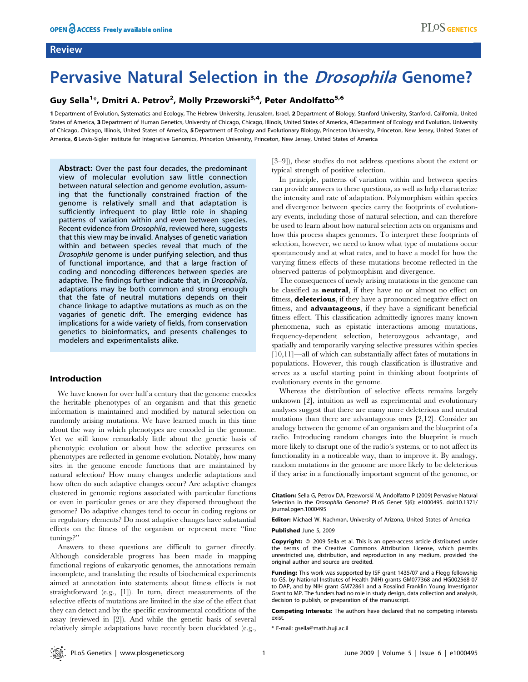## Review

# Pervasive Natural Selection in the *Drosophila* Genome?

## Guy Sella<sup>1</sup>\*, Dmitri A. Petrov<sup>2</sup>, Molly Przeworski<sup>3,4</sup>, Peter Andolfatto<sup>5,6</sup>

1 Department of Evolution, Systematics and Ecology, The Hebrew University, Jerusalem, Israel, 2 Department of Biology, Stanford University, Stanford, California, United States of America, 3 Department of Human Genetics, University of Chicago, Chicago, Illinois, United States of America, 4 Department of Ecology and Evolution, University of Chicago, Chicago, Illinois, United States of America, 5 Department of Ecology and Evolutionary Biology, Princeton University, Princeton, New Jersey, United States of America, 6 Lewis-Sigler Institute for Integrative Genomics, Princeton University, Princeton, New Jersey, United States of America

Abstract: Over the past four decades, the predominant view of molecular evolution saw little connection between natural selection and genome evolution, assuming that the functionally constrained fraction of the genome is relatively small and that adaptation is sufficiently infrequent to play little role in shaping patterns of variation within and even between species. Recent evidence from Drosophila, reviewed here, suggests that this view may be invalid. Analyses of genetic variation within and between species reveal that much of the Drosophila genome is under purifying selection, and thus of functional importance, and that a large fraction of coding and noncoding differences between species are adaptive. The findings further indicate that, in Drosophila, adaptations may be both common and strong enough that the fate of neutral mutations depends on their chance linkage to adaptive mutations as much as on the vagaries of genetic drift. The emerging evidence has implications for a wide variety of fields, from conservation genetics to bioinformatics, and presents challenges to modelers and experimentalists alike.

#### Introduction

We have known for over half a century that the genome encodes the heritable phenotypes of an organism and that this genetic information is maintained and modified by natural selection on randomly arising mutations. We have learned much in this time about the way in which phenotypes are encoded in the genome. Yet we still know remarkably little about the genetic basis of phenotypic evolution or about how the selective pressures on phenotypes are reflected in genome evolution. Notably, how many sites in the genome encode functions that are maintained by natural selection? How many changes underlie adaptations and how often do such adaptive changes occur? Are adaptive changes clustered in genomic regions associated with particular functions or even in particular genes or are they dispersed throughout the genome? Do adaptive changes tend to occur in coding regions or in regulatory elements? Do most adaptive changes have substantial effects on the fitness of the organism or represent mere ''fine tunings?''

Answers to these questions are difficult to garner directly. Although considerable progress has been made in mapping functional regions of eukaryotic genomes, the annotations remain incomplete, and translating the results of biochemical experiments aimed at annotation into statements about fitness effects is not straightforward (e.g., [1]). In turn, direct measurements of the selective effects of mutations are limited in the size of the effect that they can detect and by the specific environmental conditions of the assay (reviewed in [2]). And while the genetic basis of several relatively simple adaptations have recently been elucidated (e.g.,

[3–9]), these studies do not address questions about the extent or typical strength of positive selection.

In principle, patterns of variation within and between species can provide answers to these questions, as well as help characterize the intensity and rate of adaptation. Polymorphism within species and divergence between species carry the footprints of evolutionary events, including those of natural selection, and can therefore be used to learn about how natural selection acts on organisms and how this process shapes genomes. To interpret these footprints of selection, however, we need to know what type of mutations occur spontaneously and at what rates, and to have a model for how the varying fitness effects of these mutations become reflected in the observed patterns of polymorphism and divergence.

The consequences of newly arising mutations in the genome can be classified as **neutral**, if they have no or almost no effect on fitness, **deleterious**, if they have a pronounced negative effect on fitness, and advantageous, if they have a significant beneficial fitness effect. This classification admittedly ignores many known phenomena, such as epistatic interactions among mutations, frequency-dependent selection, heterozygous advantage, and spatially and temporarily varying selective pressures within species [10,11]—all of which can substantially affect fates of mutations in populations. However, this rough classification is illustrative and serves as a useful starting point in thinking about footprints of evolutionary events in the genome.

Whereas the distribution of selective effects remains largely unknown [2], intuition as well as experimental and evolutionary analyses suggest that there are many more deleterious and neutral mutations than there are advantageous ones [2,12]. Consider an analogy between the genome of an organism and the blueprint of a radio. Introducing random changes into the blueprint is much more likely to disrupt one of the radio's systems, or to not affect its functionality in a noticeable way, than to improve it. By analogy, random mutations in the genome are more likely to be deleterious if they arise in a functionally important segment of the genome, or

Editor: Michael W. Nachman, University of Arizona, United States of America

Published June 5, 2009

Copyright:  $\odot$  2009 Sella et al. This is an open-access article distributed under the terms of the Creative Commons Attribution License, which permits unrestricted use, distribution, and reproduction in any medium, provided the original author and source are credited.

Competing Interests: The authors have declared that no competing interests exist.

\* E-mail: gsella@math.huji.ac.il

Citation: Sella G, Petrov DA, Przeworski M, Andolfatto P (2009) Pervasive Natural Selection in the Drosophila Genome? PLoS Genet 5(6): e1000495. doi:10.1371/ journal.pgen.1000495

Funding: This work was supported by ISF grant 1435/07 and a Flegg fellowship to GS, by National Institutes of Health (NIH) grants GM077368 and HG002568-07 to DAP, and by NIH grant GM72861 and a Rosalind Franklin Young Investigator Grant to MP. The funders had no role in study design, data collection and analysis, decision to publish, or preparation of the manuscript.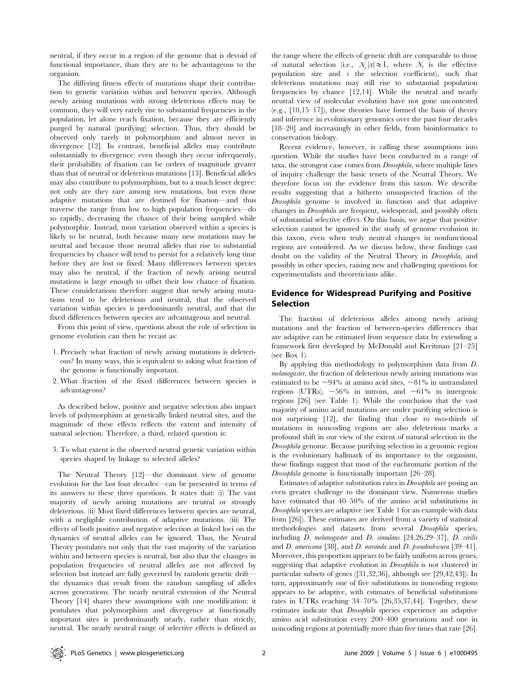neutral, if they occur in a region of the genome that is devoid of functional importance, than they are to be advantageous to the organism.

The differing fitness effects of mutations shape their contribution to genetic variation within and between species. Although newly arising mutations with strong deleterious effects may be common, they will very rarely rise to substantial frequencies in the population, let alone reach fixation, because they are efficiently purged by natural (purifying) selection. Thus, they should be observed only rarely in polymorphism and almost never in divergence [12]. In contrast, beneficial alleles may contribute substantially to divergence: even though they occur infrequently, their probability of fixation can be orders of magnitude greater than that of neutral or deleterious mutations [13]. Beneficial alleles may also contribute to polymorphism, but to a much lesser degree: not only are they rare among new mutations, but even those adaptive mutations that are destined for fixation—and thus traverse the range from low to high population frequencies—do so rapidly, decreasing the chance of their being sampled while polymorphic. Instead, most variation observed within a species is likely to be neutral, both because many new mutations may be neutral and because those neutral alleles that rise to substantial frequencies by chance will tend to persist for a relatively long time before they are lost or fixed. Many differences between species may also be neutral, if the fraction of newly arising neutral mutations is large enough to offset their low chance of fixation. These considerations therefore suggest that newly arising mutations tend to be deleterious and neutral, that the observed variation within species is predominantly neutral, and that the fixed differences between species are advantageous and neutral.

From this point of view, questions about the role of selection in genome evolution can then be recast as:

- 1. Precisely what fraction of newly arising mutations is deleterious? In many ways, this is equivalent to asking what fraction of the genome is functionally important.
- 2. What fraction of the fixed differences between species is advantageous?

As described below, positive and negative selection also impact levels of polymorphism at genetically linked neutral sites, and the magnitude of these effects reflects the extent and intensity of natural selection. Therefore, a third, related question is:

1. To what extent is the observed neutral genetic variation within 3. species shaped by linkage to selected alleles?

The Neutral Theory [12]—the dominant view of genome evolution for the last four decades—can be presented in terms of its answers to these three questions. It states that: (i) The vast majority of newly arising mutations are neutral or strongly deleterious. (ii) Most fixed differences between species are neutral, with a negligible contribution of adaptive mutations. (iii) The effects of both positive and negative selection at linked loci on the dynamics of neutral alleles can be ignored. Thus, the Neutral Theory postulates not only that the vast majority of the variation within and between species is neutral, but also that the changes in population frequencies of neutral alleles are not affected by selection but instead are fully governed by random genetic drift the dynamics that result from the random sampling of alleles across generations. The nearly neutral extension of the Neutral Theory [14] shares these assumptions with one modification: it postulates that polymorphism and divergence at functionally important sites is predominantly nearly, rather than strictly, neutral. The nearly neutral range of selective effects is defined as the range where the effects of genetic drift are comparable to those of natural selection (i.e.,  $\mathcal{N}_e |s| \approx 1$ , where  $\mathcal{N}_e$  is the effective population size and s the selection coefficient), such that deleterious mutations may still rise to substantial population frequencies by chance [12,14]. While the neutral and nearly neutral view of molecular evolution have not gone uncontested  $(e.g., [10,15-17])$ , these theories have formed the basis of theory and inference in evolutionary genomics over the past four decades [18–20] and increasingly in other fields, from bioinformatics to conservation biology.

Recent evidence, however, is calling these assumptions into question. While the studies have been conducted in a range of taxa, the strongest case comes from Drosophila, where multiple lines of inquiry challenge the basic tenets of the Neutral Theory. We therefore focus on the evidence from this taxon. We describe results suggesting that a hitherto unsuspected fraction of the Drosophila genome is involved in function and that adaptive changes in Drosophila are frequent, widespread, and possibly often of substantial selective effect. On this basis, we argue that positive selection cannot be ignored in the study of genome evolution in this taxon, even when truly neutral changes in nonfunctional regions are considered. As we discuss below, these findings cast doubt on the validity of the Neutral Theory in Drosophila, and possibly in other species, raising new and challenging questions for experimentalists and theoreticians alike.

## Evidence for Widespread Purifying and Positive Selection

The fraction of deleterious alleles among newly arising mutations and the fraction of between-species differences that are adaptive can be estimated from sequence data by extending a framework first developed by McDonald and Kreitman [21–25] (see Box 1).

By applying this methodology to polymorphism data from D. melanogaster, the fraction of deleterious newly arising mutations was estimated to be  $\sim$ 94% at amino acid sites,  $\sim$ 81% in untranslated regions (UTRs),  $\sim 56\%$  in introns, and  $\sim 61\%$  in intergenic regions [26] (see Table 1). While the conclusion that the vast majority of amino acid mutations are under purifying selection is not surprising [12], the finding that close to two-thirds of mutations in noncoding regions are also deleterious marks a profound shift in our view of the extent of natural selection in the Drosophila genome. Because purifying selection in a genomic region is the evolutionary hallmark of its importance to the organism, these findings suggest that most of the euchromatic portion of the Drosophila genome is functionally important [26–28].

Estimates of adaptive substitution rates in Drosophila are posing an even greater challenge to the dominant view. Numerous studies have estimated that 40–50% of the amino acid substitutions in Drosophila species are adaptive (see Table 1 for an example with data from [26]). These estimates are derived from a variety of statistical methodologies and datasets from several Drosophila species, including D. melanogaster and D. simulans [24,26,29–37], D. virilis and D. americana [38], and D. miranda and D. pseudoobscura [39-41]. Moreover, this proportion appears to be fairly uniform across genes, suggesting that adaptive evolution in *Drosophila* is not clustered in particular subsets of genes ([31,32,36], although see [29,42,43]). In turn, approximately one of five substitutions in noncoding regions appears to be adaptive, with estimates of beneficial substitutions rates in UTRs reaching 34–70% [26,35,37,44]. Together, these estimates indicate that Drosophila species experience an adaptive amino acid substitution every 200–400 generations and one in noncoding regions at potentially more than five times that rate [26].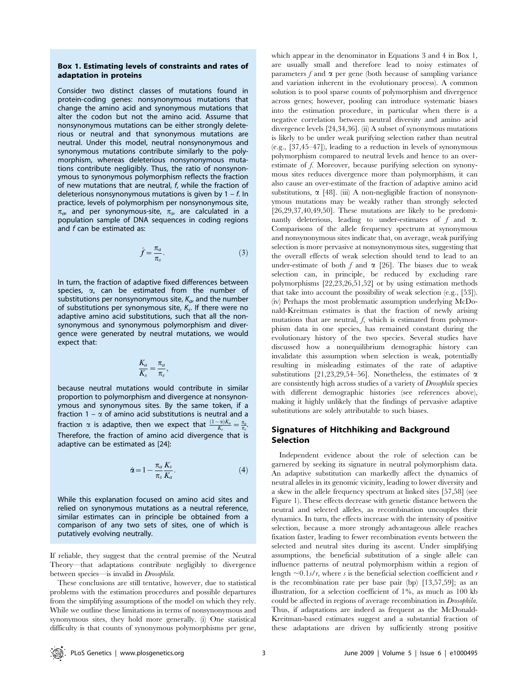#### Box 1. Estimating levels of constraints and rates of adaptation in proteins

Consider two distinct classes of mutations found in protein-coding genes: nonsynonymous mutations that change the amino acid and synonymous mutations that alter the codon but not the amino acid. Assume that nonsynonymous mutations can be either strongly deleterious or neutral and that synonymous mutations are neutral. Under this model, neutral nonsynonymous and synonymous mutations contribute similarly to the polymorphism, whereas deleterious nonsynonymous mutations contribute negligibly. Thus, the ratio of nonsynonymous to synonymous polymorphism reflects the fraction of new mutations that are neutral, f, while the fraction of deleterious nonsynonymous mutations is given by  $1 - f$ . In practice, levels of polymorphism per nonsynonymous site,  $\pi_{\alpha}$ , and per synonymous-site,  $\pi_{\alpha}$ , are calculated in a population sample of DNA sequences in coding regions and f can be estimated as:

$$
\hat{f} = \frac{\pi_a}{\pi_s}.\tag{3}
$$

In turn, the fraction of adaptive fixed differences between species,  $\alpha$ , can be estimated from the number of substitutions per nonsynonymous site,  $K_a$ , and the number of substitutions per synonymous site,  $K_s$ . If there were no adaptive amino acid substitutions, such that all the nonsynonymous and synonymous polymorphism and divergence were generated by neutral mutations, we would expect that:

$$
\frac{K_a}{K_s} = \frac{\pi_a}{\pi_s},
$$

because neutral mutations would contribute in similar proportion to polymorphism and divergence at nonsynonymous and synonymous sites. By the same token, if a fraction 1 –  $\alpha$  of amino acid substitutions is neutral and a fraction  $\alpha$  is adaptive, then we expect that  $\frac{(1-\alpha)K_a}{K_s} = \frac{\pi_a}{\pi_s}$ . Therefore, the fraction of amino acid divergence that is adaptive can be estimated as [24]:

$$
\hat{\alpha} = 1 - \frac{\pi_a}{\pi_s} \frac{K_s}{K_a}.
$$
\n(4)

While this explanation focused on amino acid sites and relied on synonymous mutations as a neutral reference, similar estimates can in principle be obtained from a comparison of any two sets of sites, one of which is putatively evolving neutrally.

If reliable, they suggest that the central premise of the Neutral Theory—that adaptations contribute negligibly to divergence between species—is invalid in Drosophila.

These conclusions are still tentative, however, due to statistical problems with the estimation procedures and possible departures from the simplifying assumptions of the model on which they rely. While we outline these limitations in terms of nonsynonymous and synonymous sites, they hold more generally. (i) One statistical difficulty is that counts of synonymous polymorphisms per gene, which appear in the denominator in Equations 3 and 4 in Box 1, are usually small and therefore lead to noisy estimates of parameters f and  $\alpha$  per gene (both because of sampling variance and variation inherent in the evolutionary process). A common solution is to pool sparse counts of polymorphism and divergence across genes; however, pooling can introduce systematic biases into the estimation procedure, in particular when there is a negative correlation between neutral diversity and amino acid divergence levels [24,34,36]. (ii) A subset of synonymous mutations is likely to be under weak purifying selection rather than neutral (e.g., [37,45–47]), leading to a reduction in levels of synonymous polymorphism compared to neutral levels and hence to an overestimate of f. Moreover, because purifying selection on synonymous sites reduces divergence more than polymorphism, it can also cause an over-estimate of the fraction of adaptive amino acid substitutions,  $\alpha$  [48]. (iii) A non-negligible fraction of nonsynonymous mutations may be weakly rather than strongly selected [26,29,37,40,49,50]. These mutations are likely to be predominantly deleterious, leading to under-estimates of  $f$  and  $\alpha$ . Comparisons of the allele frequency spectrum at synonymous and nonsynonymous sites indicate that, on average, weak purifying selection is more pervasive at nonsynonymous sites, suggesting that the overall effects of weak selection should tend to lead to an under-estimate of both f and  $\alpha$  [26]. The biases due to weak selection can, in principle, be reduced by excluding rare polymorphisms [22,23,26,51,52] or by using estimation methods that take into account the possibility of weak selection (e.g., [53]). (iv) Perhaps the most problematic assumption underlying McDonald-Kreitman estimates is that the fraction of newly arising mutations that are neutral,  $f$ , which is estimated from polymorphism data in one species, has remained constant during the evolutionary history of the two species. Several studies have discussed how a nonequilibrium demographic history can invalidate this assumption when selection is weak, potentially resulting in misleading estimates of the rate of adaptive substitutions [21,23,29,54–56]. Nonetheless, the estimates of  $\alpha$ are consistently high across studies of a variety of Drosophila species with different demographic histories (see references above), making it highly unlikely that the findings of pervasive adaptive substitutions are solely attributable to such biases.

## Signatures of Hitchhiking and Background Selection

Independent evidence about the role of selection can be garnered by seeking its signature in neutral polymorphism data. An adaptive substitution can markedly affect the dynamics of neutral alleles in its genomic vicinity, leading to lower diversity and a skew in the allele frequency spectrum at linked sites [57,58] (see Figure 1). These effects decrease with genetic distance between the neutral and selected alleles, as recombination uncouples their dynamics. In turn, the effects increase with the intensity of positive selection, because a more strongly advantageous allele reaches fixation faster, leading to fewer recombination events between the selected and neutral sites during its ascent. Under simplifying assumptions, the beneficial substitution of a single allele can influence patterns of neutral polymorphism within a region of length  $\sim 0.1$ s/r, where s is the beneficial selection coefficient and r is the recombination rate per base pair (bp) [13,57,59]; as an illustration, for a selection coefficient of 1%, as much as 100 kb could be affected in regions of average recombination in Drosophila. Thus, if adaptations are indeed as frequent as the McDonald-Kreitman-based estimates suggest and a substantial fraction of these adaptations are driven by sufficiently strong positive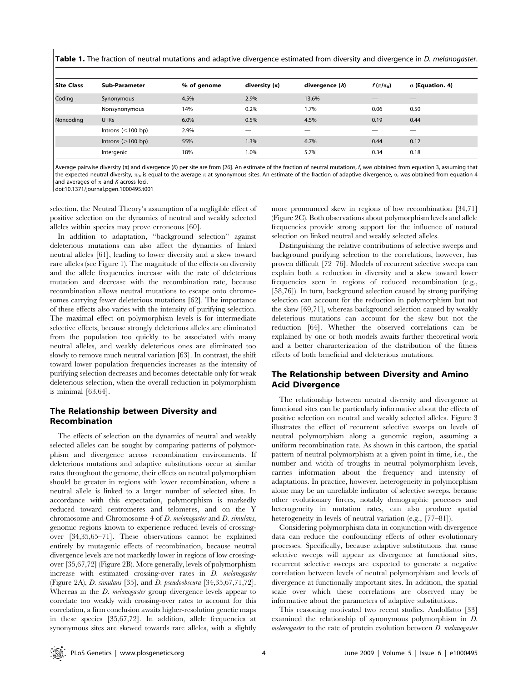Table 1. The fraction of neutral mutations and adaptive divergence estimated from diversity and divergence in D. melanogaster.

| <b>Site Class</b> | Sub-Parameter       | % of genome | diversity $(\pi)$ | divergence $(R)$ | $f(\pi/\pi_0)$ | $\alpha$ (Equation. 4) |
|-------------------|---------------------|-------------|-------------------|------------------|----------------|------------------------|
| Coding            | Synonymous          | 4.5%        | 2.9%              | 13.6%            |                |                        |
|                   | Nonsynonymous       | 14%         | 0.2%              | 1.7%             | 0.06           | 0.50                   |
| Noncoding         | <b>UTRs</b>         | 6.0%        | 0.5%              | 4.5%             | 0.19           | 0.44                   |
|                   | Introns $(<100$ bp) | 2.9%        | _                 |                  |                | _                      |
|                   | Introns $(>100$ bp) | 55%         | 1.3%              | 6.7%             | 0.44           | 0.12                   |
|                   | Intergenic          | 18%         | 1.0%              | 5.7%             | 0.34           | 0.18                   |

Average pairwise diversity ( $\pi$ ) and divergence (K) per site are from [26]. An estimate of the fraction of neutral mutations, f, was obtained from equation 3, assuming that the expected neutral diversity,  $\pi_0$ , is equal to the average  $\pi$  at synonymous sites. An estimate of the fraction of adaptive divergence,  $\alpha$ , was obtained from equation 4 and averages of  $\pi$  and K across loci.

doi:10.1371/journal.pgen.1000495.t001

selection, the Neutral Theory's assumption of a negligible effect of positive selection on the dynamics of neutral and weakly selected alleles within species may prove erroneous [60].

In addition to adaptation, ''background selection'' against deleterious mutations can also affect the dynamics of linked neutral alleles [61], leading to lower diversity and a skew toward rare alleles (see Figure 1). The magnitude of the effects on diversity and the allele frequencies increase with the rate of deleterious mutation and decrease with the recombination rate, because recombination allows neutral mutations to escape onto chromosomes carrying fewer deleterious mutations [62]. The importance of these effects also varies with the intensity of purifying selection. The maximal effect on polymorphism levels is for intermediate selective effects, because strongly deleterious alleles are eliminated from the population too quickly to be associated with many neutral alleles, and weakly deleterious ones are eliminated too slowly to remove much neutral variation [63]. In contrast, the shift toward lower population frequencies increases as the intensity of purifying selection decreases and becomes detectable only for weak deleterious selection, when the overall reduction in polymorphism is minimal [63,64].

## The Relationship between Diversity and Recombination

The effects of selection on the dynamics of neutral and weakly selected alleles can be sought by comparing patterns of polymorphism and divergence across recombination environments. If deleterious mutations and adaptive substitutions occur at similar rates throughout the genome, their effects on neutral polymorphism should be greater in regions with lower recombination, where a neutral allele is linked to a larger number of selected sites. In accordance with this expectation, polymorphism is markedly reduced toward centromeres and telomeres, and on the Y chromosome and Chromosome 4 of D. melanogaster and D. simulans, genomic regions known to experience reduced levels of crossingover [34,35,65–71]. These observations cannot be explained entirely by mutagenic effects of recombination, because neutral divergence levels are not markedly lower in regions of low crossingover [35,67,72] (Figure 2B). More generally, levels of polymorphism increase with estimated crossing-over rates in D. melanogaster (Figure 2A), D. simulans [35], and D. pseudoobscura [34,35,67,71,72]. Whereas in the *D. melanogaster* group divergence levels appear to correlate too weakly with crossing-over rates to account for this correlation, a firm conclusion awaits higher-resolution genetic maps in these species [35,67,72]. In addition, allele frequencies at synonymous sites are skewed towards rare alleles, with a slightly

more pronounced skew in regions of low recombination [34,71] (Figure 2C). Both observations about polymorphism levels and allele frequencies provide strong support for the influence of natural selection on linked neutral and weakly selected alleles.

Distinguishing the relative contributions of selective sweeps and background purifying selection to the correlations, however, has proven difficult [72–76]. Models of recurrent selective sweeps can explain both a reduction in diversity and a skew toward lower frequencies seen in regions of reduced recombination (e.g., [58,76]). In turn, background selection caused by strong purifying selection can account for the reduction in polymorphism but not the skew [69,71], whereas background selection caused by weakly deleterious mutations can account for the skew but not the reduction [64]. Whether the observed correlations can be explained by one or both models awaits further theoretical work and a better characterization of the distribution of the fitness effects of both beneficial and deleterious mutations.

## The Relationship between Diversity and Amino Acid Divergence

The relationship between neutral diversity and divergence at functional sites can be particularly informative about the effects of positive selection on neutral and weakly selected alleles. Figure 3 illustrates the effect of recurrent selective sweeps on levels of neutral polymorphism along a genomic region, assuming a uniform recombination rate. As shown in this cartoon, the spatial pattern of neutral polymorphism at a given point in time, i.e., the number and width of troughs in neutral polymorphism levels, carries information about the frequency and intensity of adaptations. In practice, however, heterogeneity in polymorphism alone may be an unreliable indicator of selective sweeps, because other evolutionary forces, notably demographic processes and heterogeneity in mutation rates, can also produce spatial heterogeneity in levels of neutral variation (e.g., [77–81]).

Considering polymorphism data in conjunction with divergence data can reduce the confounding effects of other evolutionary processes. Specifically, because adaptive substitutions that cause selective sweeps will appear as divergence at functional sites, recurrent selective sweeps are expected to generate a negative correlation between levels of neutral polymorphism and levels of divergence at functionally important sites. In addition, the spatial scale over which these correlations are observed may be informative about the parameters of adaptive substitutions.

This reasoning motivated two recent studies. Andolfatto [33] examined the relationship of synonymous polymorphism in D. melanogaster to the rate of protein evolution between D. melanogaster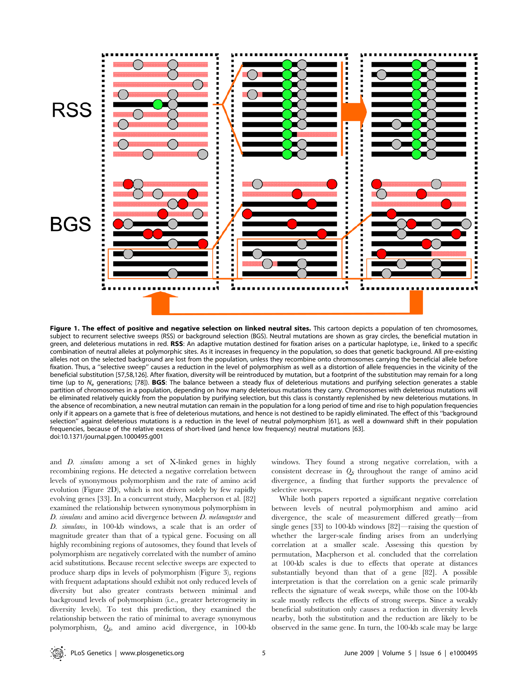

Figure 1. The effect of positive and negative selection on linked neutral sites. This cartoon depicts a population of ten chromosomes, subject to recurrent selective sweeps (RSS) or background selection (BGS). Neutral mutations are shown as gray circles, the beneficial mutation in green, and deleterious mutations in red. RSS: An adaptive mutation destined for fixation arises on a particular haplotype, i.e., linked to a specific combination of neutral alleles at polymorphic sites. As it increases in frequency in the population, so does that genetic background. All pre-existing alleles not on the selected background are lost from the population, unless they recombine onto chromosomes carrying the beneficial allele before fixation. Thus, a ''selective sweep'' causes a reduction in the level of polymorphism as well as a distortion of allele frequencies in the vicinity of the beneficial substitution [57,58,126]. After fixation, diversity will be reintroduced by mutation, but a footprint of the substitution may remain for a long time (up to  $N_e$  generations; [78]). BGS: The balance between a steady flux of deleterious mutations and purifying selection generates a stable partition of chromosomes in a population, depending on how many deleterious mutations they carry. Chromosomes with deleterious mutations will be eliminated relatively quickly from the population by purifying selection, but this class is constantly replenished by new deleterious mutations. In the absence of recombination, a new neutral mutation can remain in the population for a long period of time and rise to high population frequencies only if it appears on a gamete that is free of deleterious mutations, and hence is not destined to be rapidly eliminated. The effect of this ''background selection'' against deleterious mutations is a reduction in the level of neutral polymorphism [61], as well a downward shift in their population frequencies, because of the relative excess of short-lived (and hence low frequency) neutral mutations [63]. doi:10.1371/journal.pgen.1000495.g001

and D. simulans among a set of X-linked genes in highly recombining regions. He detected a negative correlation between levels of synonymous polymorphism and the rate of amino acid evolution (Figure 2D), which is not driven solely by few rapidly evolving genes [33]. In a concurrent study, Macpherson et al. [82] examined the relationship between synonymous polymorphism in D. simulans and amino acid divergence between D. melanogaster and D. simulans, in 100-kb windows, a scale that is an order of magnitude greater than that of a typical gene. Focusing on all highly recombining regions of autosomes, they found that levels of polymorphism are negatively correlated with the number of amino acid substitutions. Because recent selective sweeps are expected to produce sharp dips in levels of polymorphism (Figure 3), regions with frequent adaptations should exhibit not only reduced levels of diversity but also greater contrasts between minimal and background levels of polymorphism (i.e., greater heterogeneity in diversity levels). To test this prediction, they examined the relationship between the ratio of minimal to average synonymous polymorphism,  $Q_S$ , and amino acid divergence, in 100-kb windows. They found a strong negative correlation, with a consistent decrease in  $Q<sub>S</sub>$  throughout the range of amino acid divergence, a finding that further supports the prevalence of selective sweeps.

While both papers reported a significant negative correlation between levels of neutral polymorphism and amino acid divergence, the scale of measurement differed greatly—from single genes [33] to 100-kb windows [82]—raising the question of whether the larger-scale finding arises from an underlying correlation at a smaller scale. Assessing this question by permutation, Macpherson et al. concluded that the correlation at 100-kb scales is due to effects that operate at distances substantially beyond than that of a gene [82]. A possible interpretation is that the correlation on a genic scale primarily reflects the signature of weak sweeps, while those on the 100-kb scale mostly reflects the effects of strong sweeps. Since a weakly beneficial substitution only causes a reduction in diversity levels nearby, both the substitution and the reduction are likely to be observed in the same gene. In turn, the 100-kb scale may be large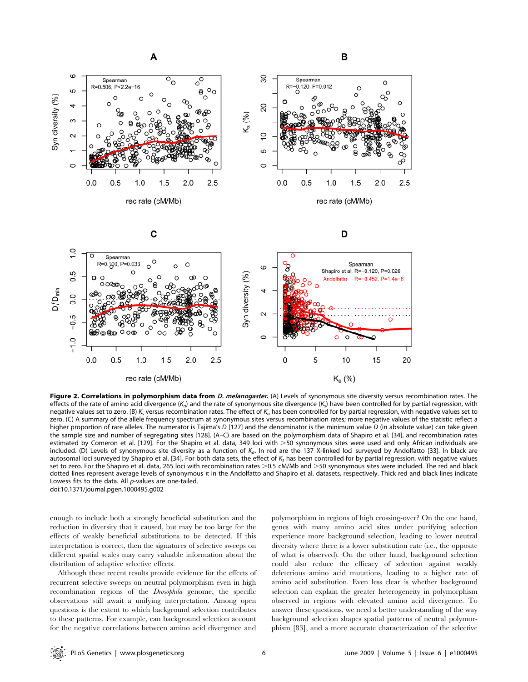

Figure 2. Correlations in polymorphism data from D. melanogaster. (A) Levels of synonymous site diversity versus recombination rates. The effects of the rate of amino acid divergence (K<sub>a</sub>) and the rate of synonymous site divergence (K<sub>s</sub>) have been controlled for by partial regression, with negative values set to zero. (B) K<sub>s</sub> versus recombination rates. The effect of K<sub>a</sub> has been controlled for by partial regression, with negative values set to zero. (C) A summary of the allele frequency spectrum at synonymous sites versus recombination rates; more negative values of the statistic reflect a higher proportion of rare alleles. The numerator is Tajima's  $D$  [127] and the denominator is the minimum value  $D$  (in absolute value) can take given the sample size and number of segregating sites [128]. (A–C) are based on the polymorphism data of Shapiro et al. [34], and recombination rates estimated by Comeron et al. [129]. For the Shapiro et al. data, 349 loci with >50 synonymous sites were used and only African individuals are included. (D) Levels of synonymous site diversity as a function of  $K_a$ . In red are the 137 X-linked loci surveyed by Andolfatto [33]. In black are autosomal loci surveyed by Shapiro et al. [34]. For both data sets, the effect of  $K<sub>s</sub>$  has been controlled for by partial regression, with negative values set to zero. For the Shapiro et al. data, 265 loci with recombination rates >0.5 cM/Mb and >50 synonymous sites were included. The red and black dotted lines represent average levels of synonymous  $\pi$  in the Andolfatto and Shapiro et al. datasets, respectively. Thick red and black lines indicate Lowess fits to the data. All p-values are one-tailed. doi:10.1371/journal.pgen.1000495.g002

enough to include both a strongly beneficial substitution and the reduction in diversity that it caused, but may be too large for the effects of weakly beneficial substitutions to be detected. If this interpretation is correct, then the signatures of selective sweeps on different spatial scales may carry valuable information about the distribution of adaptive selective effects.

Although these recent results provide evidence for the effects of recurrent selective sweeps on neutral polymorphism even in high recombination regions of the Drosophila genome, the specific observations still await a unifying interpretation. Among open questions is the extent to which background selection contributes to these patterns. For example, can background selection account for the negative correlations between amino acid divergence and polymorphism in regions of high crossing-over? On the one hand, genes with many amino acid sites under purifying selection experience more background selection, leading to lower neutral diversity where there is a lower substitution rate (i.e., the opposite of what is observed). On the other hand, background selection could also reduce the efficacy of selection against weakly deleterious amino acid mutations, leading to a higher rate of amino acid substitution. Even less clear is whether background selection can explain the greater heterogeneity in polymorphism observed in regions with elevated amino acid divergence. To answer these questions, we need a better understanding of the way background selection shapes spatial patterns of neutral polymorphism [83], and a more accurate characterization of the selective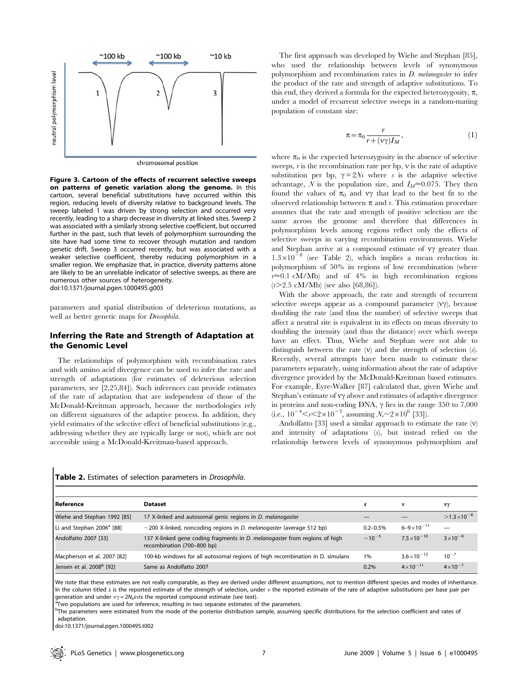

chromosomal position

Figure 3. Cartoon of the effects of recurrent selective sweeps on patterns of genetic variation along the genome. In this cartoon, several beneficial substitutions have occurred within this region, reducing levels of diversity relative to background levels. The sweep labeled 1 was driven by strong selection and occurred very recently, leading to a sharp decrease in diversity at linked sites. Sweep 2 was associated with a similarly strong selective coefficient, but occurred further in the past, such that levels of polymorphism surrounding the site have had some time to recover through mutation and random genetic drift. Sweep 3 occurred recently, but was associated with a weaker selective coefficient, thereby reducing polymorphism in a smaller region. We emphasize that, in practice, diversity patterns alone are likely to be an unreliable indicator of selective sweeps, as there are numerous other sources of heterogeneity. doi:10.1371/journal.pgen.1000495.g003

parameters and spatial distribution of deleterious mutations, as well as better genetic maps for Drosophila.

## Inferring the Rate and Strength of Adaptation at the Genomic Level

The relationships of polymorphism with recombination rates and with amino acid divergence can be used to infer the rate and strength of adaptations (for estimates of deleterious selection parameters, see [2,25,84]). Such inferences can provide estimates of the rate of adaptation that are independent of those of the McDonald-Kreitman approach, because the methodologies rely on different signatures of the adaptive process. In addition, they yield estimates of the selective effect of beneficial substitutions (e.g., addressing whether they are typically large or not), which are not accessible using a McDonald-Kreitman-based approach.

The first approach was developed by Wiehe and Stephan [85], who used the relationship between levels of synonymous polymorphism and recombination rates in D. melanogaster to infer the product of the rate and strength of adaptive substitutions. To this end, they derived a formula for the expected heterozygosity,  $\pi$ , under a model of recurrent selective sweeps in a random-mating population of constant size:

$$
\pi = \pi_0 \frac{r}{r + (\nu \gamma) I_M},\tag{1}
$$

where  $\pi_0$  is the expected heterozygosity in the absence of selective sweeps,  $r$  is the recombination rate per bp,  $v$  is the rate of adaptive substitution per bp,  $\gamma = 2N_s$  where s is the adaptive selective advantage, N is the population size, and  $I_M \approx 0.075$ . They then found the values of  $\pi_0$  and v $\gamma$  that lead to the best fit to the observed relationship between  $\pi$  and r. This estimation procedure assumes that the rate and strength of positive selection are the same across the genome and therefore that differences in polymorphism levels among regions reflect only the effects of selective sweeps in varying recombination environments. Wiehe and Stephan arrive at a compound estimate of  $v\gamma$  greater than  $1.3\times10^{-8}$  (see Table 2), which implies a mean reduction in polymorphism of 50% in regions of low recombination (where  $r \approx 0.1$  cM/Mb) and of 4% in high recombination regions  $(r>2.5$  cM/Mb) (see also [68,86]).

With the above approach, the rate and strength of recurrent selective sweeps appear as a compound parameter  $(v\gamma)$ , because doubling the rate (and thus the number) of selective sweeps that affect a neutral site is equivalent in its effects on mean diversity to doubling the intensity (and thus the distance) over which sweeps have an effect. Thus, Wiehe and Stephan were not able to distinguish between the rate  $(v)$  and the strength of selection  $(s)$ . Recently, several attempts have been made to estimate these parameters separately, using information about the rate of adaptive divergence provided by the McDonald-Kreitman based estimates. For example, Eyre-Walker [87] calculated that, given Wiehe and Stephan's estimate of  $v\gamma$  above and estimates of adaptive divergence in proteins and non-coding DNA,  $\gamma$  lies in the range 350 to 7,000 (i.e.,  $10^{-4} \le s \le 2 \times 10^{-3}$ , assuming  $\mathcal{N}_e \sim 2 \times 10^6$  [33]).

Andolfatto [33] used a similar approach to estimate the rate  $(v)$ and intensity of adaptations (s), but instead relied on the relationship between levels of synonymous polymorphism and

| <b>Table 2.</b> Estimates of selection parameters in Drosophila. |  |  |  |
|------------------------------------------------------------------|--|--|--|
|------------------------------------------------------------------|--|--|--|

| Reference                             | <b>Dataset</b>                                                                                                  | s                       | v                       | vγ                  |
|---------------------------------------|-----------------------------------------------------------------------------------------------------------------|-------------------------|-------------------------|---------------------|
| Wiehe and Stephan 1992 [85]           | 17 X-linked and autosomal genic regions in <i>D. melanogaster</i>                                               |                         |                         | $>1.3\times10^{-8}$ |
| Li and Stephan 2006 <sup>a</sup> [88] | $\sim$ 200 X-linked, noncoding regions in <i>D. melanogaster</i> (average 512 bp)                               | $0.2 - 0.5\%$           | $6 - 9 \times 10^{-11}$ |                     |
| Andolfatto 2007 [33]                  | 137 X-linked gene coding fragments in <i>D. melanogaster</i> from regions of high<br>recombination (700-800 bp) | $\sim$ 10 <sup>-5</sup> | $7.5 \times 10^{-10}$   | $3 \times 10^{-8}$  |
| Macpherson et al. 2007 [82]           | 100-kb windows for all autosomal regions of high recombination in D. simulans                                   | 1%                      | $3.6 \times 10^{-12}$   | $10^{-7}$           |
| Jensen et al. 2008 <sup>b</sup> [92]  | Same as Andolfatto 2007                                                                                         | 0.2%                    | $4 \times 10^{-11}$     | $4 \times 10^{-7}$  |

We note that these estimates are not really comparable, as they are derived under different assumptions, not to mention different species and modes of inheritance. In the column titled s is the reported estimate of the strength of selection, under v the reported estimate of the rate of adaptive substitutions per base pair per generation and under  $v\gamma = 2N_e s$  vis the reported compound estimate (see text).

Two populations are used for inference, resulting in two separate estimates of the parameters.

<sup>b</sup>The parameters were estimated from the mode of the posterior distribution sample, assuming specific distributions for the selection coefficient and rates of adaptation.

doi:10.1371/journal.pgen.1000495.t002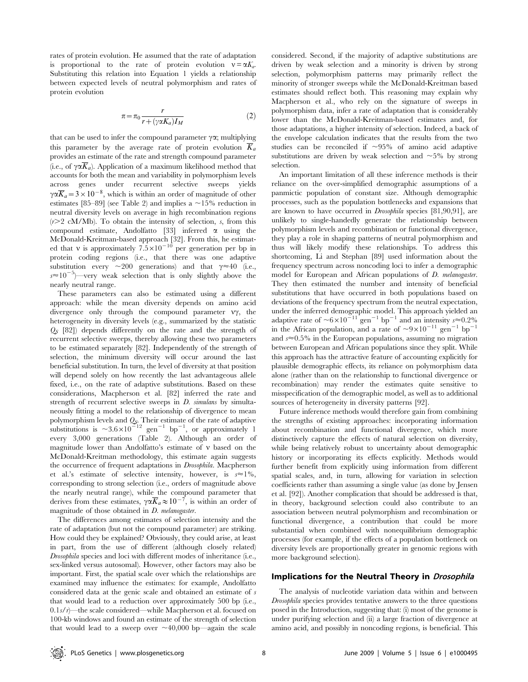rates of protein evolution. He assumed that the rate of adaptation is proportional to the rate of protein evolution  $v = \alpha K_a$ . Substituting this relation into Equation 1 yields a relationship between expected levels of neutral polymorphism and rates of protein evolution

$$
\pi = \pi_0 \frac{r}{r + (\gamma \alpha K_a) I_M} \tag{2}
$$

that can be used to infer the compound parameter  $\gamma \alpha$ ; multiplying this parameter by the average rate of protein evolution  $\overline{K}_a$ provides an estimate of the rate and strength compound parameter (i.e., of  $\gamma \alpha \overline{K}_q$ ). Application of a maximum likelihood method that accounts for both the mean and variability in polymorphism levels across genes under recurrent selective sweeps yields  $\gamma \alpha \overline{K}_a = 3 \times 10^{-8}$ , which is within an order of magnitude of other estimates [85–89] (see Table 2) and implies a  $\sim$ 15% reduction in neutral diversity levels on average in high recombination regions  $(r>2$  cM/Mb). To obtain the intensity of selection, s, from this compound estimate, Andolfatto [33] inferred  $\alpha$  using the McDonald-Kreitman-based approach [32]. From this, he estimated that v is approximately  $7.5 \times 10^{-10}$  per generation per bp in protein coding regions (i.e., that there was one adaptive substitution every  $\sim 200$  generations) and that  $\gamma \approx 40$  (i.e.,  $s \approx 10^{-5}$  very weak selection that is only slightly above the nearly neutral range.

These parameters can also be estimated using a different approach: while the mean diversity depends on amino acid divergence only through the compound parameter  $\nu\gamma$ , the heterogeneity in diversity levels (e.g., summarized by the statistic  $Q<sub>S</sub>$  [82]) depends differently on the rate and the strength of recurrent selective sweeps, thereby allowing these two parameters to be estimated separately [82]. Independently of the strength of selection, the minimum diversity will occur around the last beneficial substitution. In turn, the level of diversity at that position will depend solely on how recently the last advantageous allele fixed, i.e., on the rate of adaptive substitutions. Based on these considerations, Macpherson et al. [82] inferred the rate and strength of recurrent selective sweeps in  $D$ , simulans by simultaneously fitting a model to the relationship of divergence to mean polymorphism levels and  $Q_s$ . Their estimate of the rate of adaptive substitutions is  $\sim 3.6 \times 10^{-12}$  gen<sup>-1</sup> bp<sup>-1</sup>, or approximately 1 every 3,000 generations (Table 2). Although an order of magnitude lower than Andolfatto's estimate of  $v$  based on the McDonald-Kreitman methodology, this estimate again suggests the occurrence of frequent adaptations in Drosophila. Macpherson et al.'s estimate of selective intensity, however, is  $s \approx 1\%$ , corresponding to strong selection (i.e., orders of magnitude above the nearly neutral range), while the compound parameter that derives from these estimates,  $\gamma \alpha \overline{K}_a \approx 10^{-7}$ , is within an order of magnitude of those obtained in D. melanogaster.

The differences among estimates of selection intensity and the rate of adaptation (but not the compound parameter) are striking. How could they be explained? Obviously, they could arise, at least in part, from the use of different (although closely related) Drosophila species and loci with different modes of inheritance (i.e., sex-linked versus autosomal). However, other factors may also be important. First, the spatial scale over which the relationships are examined may influence the estimates: for example, Andolfatto considered data at the genic scale and obtained an estimate of s that would lead to a reduction over approximately 500 bp (i.e., 0.1s/r)—the scale considered—while Macpherson et al. focused on 100-kb windows and found an estimate of the strength of selection that would lead to a sweep over  $\sim$ 40,000 bp—again the scale

considered. Second, if the majority of adaptive substitutions are driven by weak selection and a minority is driven by strong selection, polymorphism patterns may primarily reflect the minority of stronger sweeps while the McDonald-Kreitman based estimates should reflect both. This reasoning may explain why Macpherson et al., who rely on the signature of sweeps in polymorphism data, infer a rate of adaptation that is considerably lower than the McDonald-Kreitman-based estimates and, for those adaptations, a higher intensity of selection. Indeed, a back of the envelope calculation indicates that the results from the two studies can be reconciled if  $\sim 95\%$  of amino acid adaptive substitutions are driven by weak selection and  $\sim 5\%$  by strong selection.

An important limitation of all these inference methods is their reliance on the over-simplified demographic assumptions of a panmictic population of constant size. Although demographic processes, such as the population bottlenecks and expansions that are known to have occurred in Drosophila species [81,90,91], are unlikely to single-handedly generate the relationship between polymorphism levels and recombination or functional divergence, they play a role in shaping patterns of neutral polymorphism and thus will likely modify these relationships. To address this shortcoming, Li and Stephan [89] used information about the frequency spectrum across noncoding loci to infer a demographic model for European and African populations of D. melanogaster. They then estimated the number and intensity of beneficial substitutions that have occurred in both populations based on deviations of the frequency spectrum from the neutral expectation, under the inferred demographic model. This approach yielded an adaptive rate of  $\sim6\times10^{-11}$  gen<sup>-1</sup> bp<sup>-1</sup> and an intensity  $s\approx0.2\%$ in the African population, and a rate of  $\sim 9 \times 10^{-11}$  gen<sup>-1</sup> bp<sup>-1</sup> and  $s \approx 0.5\%$  in the European populations, assuming no migration between European and African populations since they split. While this approach has the attractive feature of accounting explicitly for plausible demographic effects, its reliance on polymorphism data alone (rather than on the relationship to functional divergence or recombination) may render the estimates quite sensitive to misspecification of the demographic model, as well as to additional sources of heterogeneity in diversity patterns [92].

Future inference methods would therefore gain from combining the strengths of existing approaches: incorporating information about recombination and functional divergence, which more distinctively capture the effects of natural selection on diversity, while being relatively robust to uncertainty about demographic history or incorporating its effects explicitly. Methods would further benefit from explicitly using information from different spatial scales, and, in turn, allowing for variation in selection coefficients rather than assuming a single value (as done by Jensen et al. [92]). Another complication that should be addressed is that, in theory, background selection could also contribute to an association between neutral polymorphism and recombination or functional divergence, a contribution that could be more substantial when combined with nonequilibrium demographic processes (for example, if the effects of a population bottleneck on diversity levels are proportionally greater in genomic regions with more background selection).

#### Implications for the Neutral Theory in Drosophila

The analysis of nucleotide variation data within and between Drosophila species provides tentative answers to the three questions posed in the Introduction, suggesting that: (i) most of the genome is under purifying selection and (ii) a large fraction of divergence at amino acid, and possibly in noncoding regions, is beneficial. This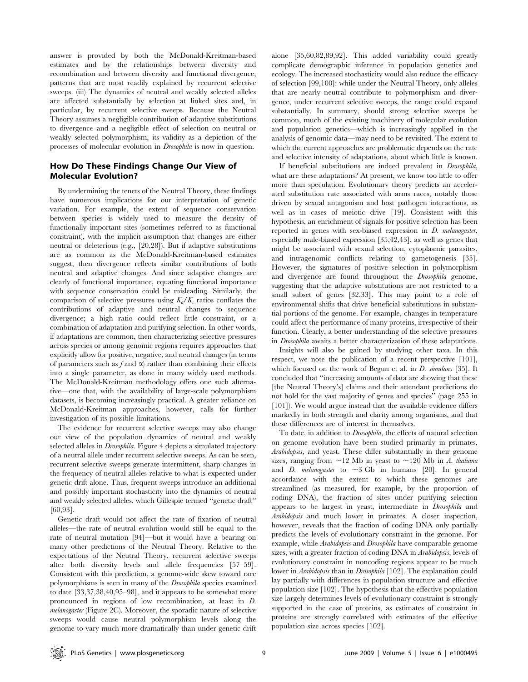answer is provided by both the McDonald-Kreitman-based estimates and by the relationships between diversity and recombination and between diversity and functional divergence, patterns that are most readily explained by recurrent selective sweeps. (iii) The dynamics of neutral and weakly selected alleles are affected substantially by selection at linked sites and, in particular, by recurrent selective sweeps. Because the Neutral Theory assumes a negligible contribution of adaptive substitutions to divergence and a negligible effect of selection on neutral or weakly selected polymorphism, its validity as a depiction of the processes of molecular evolution in Drosophila is now in question.

## How Do These Findings Change Our View of Molecular Evolution?

By undermining the tenets of the Neutral Theory, these findings have numerous implications for our interpretation of genetic variation. For example, the extent of sequence conservation between species is widely used to measure the density of functionally important sites (sometimes referred to as functional constraint), with the implicit assumption that changes are either neutral or deleterious (e.g., [20,28]). But if adaptive substitutions are as common as the McDonald-Kreitman-based estimates suggest, then divergence reflects similar contributions of both neutral and adaptive changes. And since adaptive changes are clearly of functional importance, equating functional importance with sequence conservation could be misleading. Similarly, the comparison of selective pressures using  $K_a/K_s$  ratios conflates the contributions of adaptive and neutral changes to sequence divergence; a high ratio could reflect little constraint, or a combination of adaptation and purifying selection. In other words, if adaptations are common, then characterizing selective pressures across species or among genomic regions requires approaches that explicitly allow for positive, negative, and neutral changes (in terms of parameters such as f and  $\alpha$ ) rather than combining their effects into a single parameter, as done in many widely used methods. The McDonald-Kreitman methodology offers one such alternative—one that, with the availability of large-scale polymorphism datasets, is becoming increasingly practical. A greater reliance on McDonald-Kreitman approaches, however, calls for further investigation of its possible limitations.

The evidence for recurrent selective sweeps may also change our view of the population dynamics of neutral and weakly selected alleles in *Drosophila*. Figure 4 depicts a simulated trajectory of a neutral allele under recurrent selective sweeps. As can be seen, recurrent selective sweeps generate intermittent, sharp changes in the frequency of neutral alleles relative to what is expected under genetic drift alone. Thus, frequent sweeps introduce an additional and possibly important stochasticity into the dynamics of neutral and weakly selected alleles, which Gillespie termed ''genetic draft'' [60,93].

Genetic draft would not affect the rate of fixation of neutral alleles—the rate of neutral evolution would still be equal to the rate of neutral mutation [94]—but it would have a bearing on many other predictions of the Neutral Theory. Relative to the expectations of the Neutral Theory, recurrent selective sweeps alter both diversity levels and allele frequencies [57–59]. Consistent with this prediction, a genome-wide skew toward rare polymorphisms is seen in many of the Drosophila species examined to date [33,37,38,40,95–98], and it appears to be somewhat more pronounced in regions of low recombination, at least in D. melanogaster (Figure 2C). Moreover, the sporadic nature of selective sweeps would cause neutral polymorphism levels along the genome to vary much more dramatically than under genetic drift

alone [35,60,82,89,92]. This added variability could greatly complicate demographic inference in population genetics and ecology. The increased stochasticity would also reduce the efficacy of selection [99,100]: while under the Neutral Theory, only alleles that are nearly neutral contribute to polymorphism and divergence, under recurrent selective sweeps, the range could expand substantially. In summary, should strong selective sweeps be common, much of the existing machinery of molecular evolution and population genetics—which is increasingly applied in the analysis of genomic data—may need to be revisited. The extent to which the current approaches are problematic depends on the rate and selective intensity of adaptations, about which little is known.

If beneficial substitutions are indeed prevalent in Drosophila, what are these adaptations? At present, we know too little to offer more than speculation. Evolutionary theory predicts an accelerated substitution rate associated with arms races, notably those driven by sexual antagonism and host–pathogen interactions, as well as in cases of meiotic drive [19]. Consistent with this hypothesis, an enrichment of signals for positive selection has been reported in genes with sex-biased expression in D. melanogaster, especially male-biased expression [35,42,43], as well as genes that might be associated with sexual selection, cytoplasmic parasites, and intragenomic conflicts relating to gametogenesis [35]. However, the signatures of positive selection in polymorphism and divergence are found throughout the Drosophila genome, suggesting that the adaptive substitutions are not restricted to a small subset of genes [32,33]. This may point to a role of environmental shifts that drive beneficial substitutions in substantial portions of the genome. For example, changes in temperature could affect the performance of many proteins, irrespective of their function. Clearly, a better understanding of the selective pressures in Drosophila awaits a better characterization of these adaptations.

Insights will also be gained by studying other taxa. In this respect, we note the publication of a recent perspective [101], which focused on the work of Begun et al. in *D. simulans* [35]. It concluded that ''increasing amounts of data are showing that these [the Neutral Theory's] claims and their attendant predictions do not hold for the vast majority of genes and species'' (page 255 in [101]). We would argue instead that the available evidence differs markedly in both strength and clarity among organisms, and that these differences are of interest in themselves.

To date, in addition to Drosophila, the effects of natural selection on genome evolution have been studied primarily in primates, Arabidopsis, and yeast. These differ substantially in their genome sizes, ranging from  $\sim$ 12 Mb in yeast to  $\sim$ 120 Mb in A. thaliana and D. melanogaster to  $\sim$ 3 Gb in humans [20]. In general accordance with the extent to which these genomes are streamlined (as measured, for example, by the proportion of coding DNA), the fraction of sites under purifying selection appears to be largest in yeast, intermediate in Drosophila and Arabidopsis and much lower in primates. A closer inspection, however, reveals that the fraction of coding DNA only partially predicts the levels of evolutionary constraint in the genome. For example, while Arabidopsis and Drosophila have comparable genome sizes, with a greater fraction of coding DNA in Arabidopsis, levels of evolutionary constraint in noncoding regions appear to be much lower in Arabidopsis than in Drosophila [102]. The explanation could lay partially with differences in population structure and effective population size [102]. The hypothesis that the effective population size largely determines levels of evolutionary constraint is strongly supported in the case of proteins, as estimates of constraint in proteins are strongly correlated with estimates of the effective population size across species [102].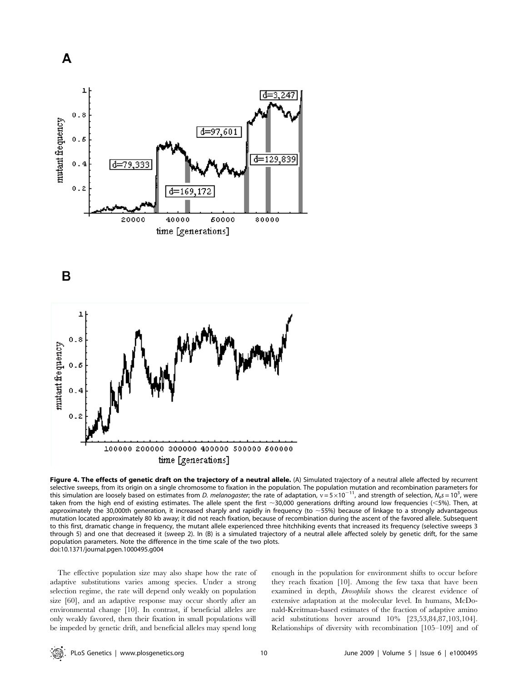

В



Figure 4. The effects of genetic draft on the trajectory of a neutral allele. (A) Simulated trajectory of a neutral allele affected by recurrent selective sweeps, from its origin on a single chromosome to fixation in the population. The population mutation and recombination parameters for<br>this simulation are loosely based on estimates from *D. melanogaster*; the ra taken from the high end of existing estimates. The allele spent the first ~30,000 generations drifting around low frequencies (<5%). Then, at approximately the 30,000th generation, it increased sharply and rapidly in frequency (to ~55%) because of linkage to a strongly advantageous mutation located approximately 80 kb away; it did not reach fixation, because of recombination during the ascent of the favored allele. Subsequent to this first, dramatic change in frequency, the mutant allele experienced three hitchhiking events that increased its frequency (selective sweeps 3 through 5) and one that decreased it (sweep 2). In (B) is a simulated trajectory of a neutral allele affected solely by genetic drift, for the same population parameters. Note the difference in the time scale of the two plots. doi:10.1371/journal.pgen.1000495.g004

The effective population size may also shape how the rate of adaptive substitutions varies among species. Under a strong selection regime, the rate will depend only weakly on population size [60], and an adaptive response may occur shortly after an environmental change [10]. In contrast, if beneficial alleles are only weakly favored, then their fixation in small populations will be impeded by genetic drift, and beneficial alleles may spend long enough in the population for environment shifts to occur before they reach fixation [10]. Among the few taxa that have been examined in depth, Drosophila shows the clearest evidence of extensive adaptation at the molecular level. In humans, McDonald-Kreitman-based estimates of the fraction of adaptive amino acid substitutions hover around 10% [23,53,84,87,103,104]. Relationships of diversity with recombination [105–109] and of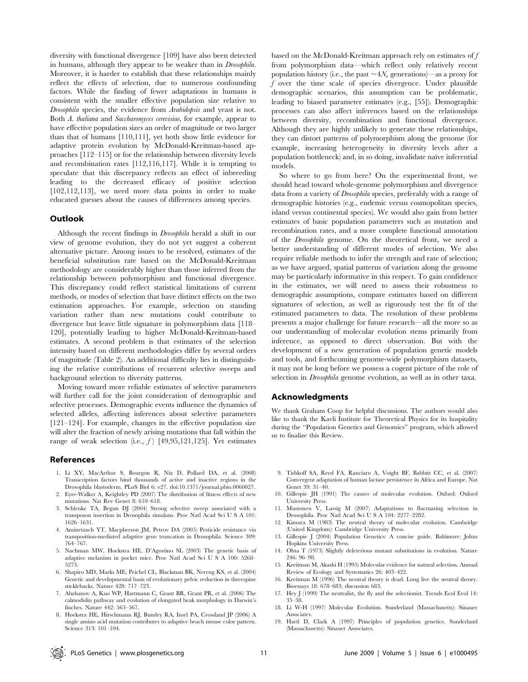diversity with functional divergence [109] have also been detected in humans, although they appear to be weaker than in Drosophila. Moreover, it is harder to establish that these relationships mainly reflect the effects of selection, due to numerous confounding factors. While the finding of fewer adaptations in humans is consistent with the smaller effective population size relative to Drosophila species, the evidence from Arabidopsis and yeast is not. Both A. thaliana and Saccharomyces cerevisiae, for example, appear to have effective population sizes an order of magnitude or two larger than that of humans [110,111], yet both show little evidence for adaptive protein evolution by McDonald-Kreitman-based approaches [112–115] or for the relationship between diversity levels and recombination rates [112,116,117]. While it is tempting to speculate that this discrepancy reflects an effect of inbreeding leading to the decreased efficacy of positive selection [102,112,113], we need more data points in order to make educated guesses about the causes of differences among species.

#### Outlook

Although the recent findings in Drosophila herald a shift in our view of genome evolution, they do not yet suggest a coherent alternative picture. Among issues to be resolved, estimates of the beneficial substitution rate based on the McDonald-Kreitman methodology are considerably higher than those inferred from the relationship between polymorphism and functional divergence. This discrepancy could reflect statistical limitations of current methods, or modes of selection that have distinct effects on the two estimation approaches. For example, selection on standing variation rather than new mutations could contribute to divergence but leave little signature in polymorphism data [118– 120], potentially leading to higher McDonald-Kreitman-based estimates. A second problem is that estimates of the selection intensity based on different methodologies differ by several orders of magnitude (Table 2). An additional difficulty lies in distinguishing the relative contributions of recurrent selective sweeps and background selection to diversity patterns.

Moving toward more reliable estimates of selective parameters will further call for the joint consideration of demographic and selective processes. Demographic events influence the dynamics of selected alleles, affecting inferences about selective parameters [121–124]. For example, changes in the effective population size will alter the fraction of newly arising mutations that fall within the range of weak selection (i.e.,  $f$ ) [49,95,121,125]. Yet estimates

#### References

- 1. Li XY, MacArthur S, Bourgon R, Nix D, Pollard DA, et al. (2008) Transcription factors bind thousands of active and inactive regions in the Drosophila blastoderm. PLoS Biol 6: e27. doi:10.1371/journal.pbio.0060027.
- 2. Eyre-Walker A, Keightley PD (2007) The distribution of fitness effects of new mutations. Nat Rev Genet 8: 610–618.
- 3. Schlenke TA, Begun DJ (2004) Strong selective sweep associated with a transposon insertion in Drosophila simulans. Proc Natl Acad Sci U S A 101: 1626–1631.
- 4. Aminetzach YT, Macpherson JM, Petrov DA (2005) Pesticide resistance via transposition-mediated adaptive gene truncation in Drosophila. Science 309: 764–767.
- 5. Nachman MW, Hoekstra HE, D'Agostino SL (2003) The genetic basis of adaptive melanism in pocket mice. Proc Natl Acad Sci U S A 100: 5268– 5273.
- 6. Shapiro MD, Marks ME, Peichel CL, Blackman BK, Nereng KS, et al. (2004) Genetic and developmental basis of evolutionary pelvic reduction in threespine sticklebacks. Nature 428: 717–723.
- 7. Abzhanov A, Kuo WP, Hartmann C, Grant BR, Grant PR, et al. (2006) The calmodulin pathway and evolution of elongated beak morphology in Darwin's finches. Nature 442: 563–567.
- 8. Hoekstra HE, Hirschmann RJ, Bundey RA, Insel PA, Crossland JP (2006) A single amino acid mutation contributes to adaptive beach mouse color pattern. Science 313: 101–104.

based on the McDonald-Kreitman approach rely on estimates of f from polymorphism data—which reflect only relatively recent population history (i.e., the past  $\sim 4\mathcal{N}_e$  generations)—as a proxy for f over the time scale of species divergence. Under plausible demographic scenarios, this assumption can be problematic, leading to biased parameter estimates (e.g., [55]). Demographic processes can also affect inferences based on the relationships between diversity, recombination and functional divergence. Although they are highly unlikely to generate these relationships, they can distort patterns of polymorphism along the genome (for example, increasing heterogeneity in diversity levels after a population bottleneck) and, in so doing, invalidate naïve inferential models.

So where to go from here? On the experimental front, we should head toward whole-genome polymorphism and divergence data from a variety of *Drosophila* species, preferably with a range of demographic histories (e.g., endemic versus cosmopolitan species, island versus continental species). We would also gain from better estimates of basic population parameters such as mutation and recombination rates, and a more complete functional annotation of the Drosophila genome. On the theoretical front, we need a better understanding of different modes of selection. We also require reliable methods to infer the strength and rate of selection; as we have argued, spatial patterns of variation along the genome may be particularly informative in this respect. To gain confidence in the estimates, we will need to assess their robustness to demographic assumptions, compare estimates based on different signatures of selection, as well as rigorously test the fit of the estimated parameters to data. The resolution of these problems presents a major challenge for future research—all the more so as our understanding of molecular evolution stems primarily from inference, as opposed to direct observation. But with the development of a new generation of population genetic models and tools, and forthcoming genome-wide polymorphism datasets, it may not be long before we possess a cogent picture of the role of selection in *Drosophila* genome evolution, as well as in other taxa.

#### Acknowledgments

We thank Graham Coop for helpful discussions. The authors would also like to thank the Kavli Institute for Theoretical Physics for its hospitality during the ''Population Genetics and Genomics'' program, which allowed us to finalize this Review.

- 9. Tishkoff SA, Reed FA, Ranciaro A, Voight BF, Babbitt CC, et al. (2007) Convergent adaptation of human lactase persistence in Africa and Europe. Nat Genet 39: 31–40.
- 10. Gillespie JH (1991) The causes of molecular evolution. Oxford: Oxford University Press.
- 11. Mustonen V, Lassig M (2007) Adaptations to fluctuating selection in Drosophila. Proc Natl Acad Sci U S A 104: 2277–2282.
- Kimura M (1983) The neutral theory of molecular evolution. Cambridge (United Kingdom): Cambridge University Press.
- 13. Gillespie J (2004) Population Genetics: A concise guide. Baltimore: Johns Hopkins University Press.
- 14. Ohta T (1973) Slightly deleterious mutant substitutions in evolution. Nature 246: 96–98.
- 15. Kreitman M, Akashi H (1995) Molecular evidence for natural selection. Annual Review of Ecology and Systematics 26: 403–422.
- Kreitman M (1996) The neutral theory is dead. Long live the neutral theory. Bioessays 18: 678–683; discussion 683. 17. Hey J (1999) The neutralist, the fly and the selectionist. Trends Ecol Evol 14:
- 35–38. 18. Li W-H (1997) Molecular Evolution. Sunderland (Massachusetts): Sinauer
- **Associates**
- 19. Hartl D, Clark A (1997) Principles of population genetics. Sunderland (Massachusetts): Sinauer Associates.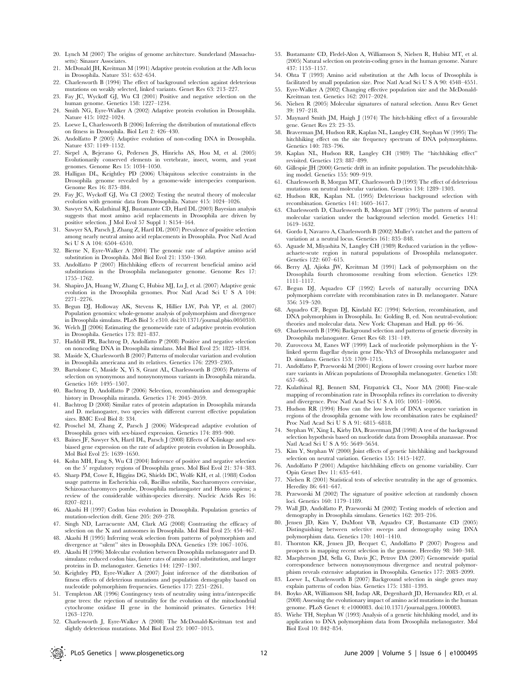- 20. Lynch M (2007) The origins of genome architecture. Sunderland (Massachusetts): Sinauer Associates.
- 21. McDonald JH, Kreitman M (1991) Adaptive protein evolution at the Adh locus in Drosophila. Nature 351: 652–654.
- 22. Charlesworth B (1994) The effect of background selection against deleterious mutations on weakly selected, linked variants. Genet Res 63: 213–227.
- 23. Fay JC, Wyckoff GJ, Wu CI (2001) Positive and negative selection on the human genome. Genetics 158: 1227–1234.
- 24. Smith NG, Eyre-Walker A (2002) Adaptive protein evolution in Drosophila. Nature 415: 1022–1024.
- 25. Loewe L, Charlesworth B (2006) Inferring the distribution of mutational effects on fitness in Drosophila. Biol Lett 2: 426–430.
- 26. Andolfatto P (2005) Adaptive evolution of non-coding DNA in Drosophila. Nature 437: 1149-1152.
- 27. Siepel A, Bejerano G, Pedersen JS, Hinrichs AS, Hou M, et al. (2005) Evolutionarily conserved elements in vertebrate, insect, worm, and yeast genomes. Genome Res 15: 1034–1050.
- 28. Halligan DL, Keightley PD (2006) Ubiquitous selective constraints in the Drosophila genome revealed by a genome-wide interspecies comparison. Genome Res 16: 875–884.
- 29. Fay JC, Wyckoff GJ, Wu CI (2002) Testing the neutral theory of molecular evolution with genomic data from Drosophila. Nature 415: 1024–1026.
- 30. Sawyer SA, Kulathinal RJ, Bustamante CD, Hartl DL (2003) Bayesian analysis suggests that most amino acid replacements in Drosophila are driven by positive selection. J Mol Evol 57 Suppl 1: S154–164.
- 31. Sawyer SA, Parsch J, Zhang Z, Hartl DL (2007) Prevalence of positive selection among nearly neutral amino acid replacements in Drosophila. Proc Natl Acad Sci U S A 104: 6504–6510.
- 32. Bierne N, Eyre-Walker A (2004) The genomic rate of adaptive amino acid substitution in Drosophila. Mol Biol Evol 21: 1350–1360.
- 33. Andolfatto P (2007) Hitchhiking effects of recurrent beneficial amino acid substitutions in the Drosophila melanogaster genome. Genome Res 17: 1755–1762.
- 34. Shapiro JA, Huang W, Zhang C, Hubisz MJ, Lu J, et al. (2007) Adaptive genic evolution in the Drosophila genomes. Proc Natl Acad Sci U S A 104: 2271–2276.
- 35. Begun DJ, Holloway AK, Stevens K, Hillier LW, Poh YP, et al. (2007) Population genomics: whole-genome analysis of polymorphism and divergence in Drosophila simulans. PLoS Biol 5: e310. doi:10.1371/journal.pbio.0050310.
- 36. Welch II (2006) Estimating the genomewide rate of adaptive protein evolution in Drosophila. Genetics 173: 821–837.
- 37. Haddrill PR, Bachtrog D, Andolfatto P (2008) Positive and negative selection on noncoding DNA in Drosophila simulans. Mol Biol Evol 25: 1825–1834.
- 38. Maside X, Charlesworth B (2007) Patterns of molecular variation and evolution in Drosophila americana and its relatives. Genetics 176: 2293–2305.
- 39. Bartolome C, Maside X, Yi S, Grant AL, Charlesworth B (2005) Patterns of selection on synonymous and nonsynonymous variants in Drosophila miranda. Genetics 169: 1495–1507.
- 40. Bachtrog D, Andolfatto P (2006) Selection, recombination and demographic history in Drosophila miranda. Genetics 174: 2045–2059.
- 41. Bachtrog D (2008) Similar rates of protein adaptation in Drosophila miranda and D. melanogaster, two species with different current effective population sizes. BMC Evol Biol 8: 334.
- 42. Proschel M, Zhang Z, Parsch J (2006) Widespread adaptive evolution of Drosophila genes with sex-biased expression. Genetics 174: 893–900.
- Baines JF, Sawyer SA, Hartl DL, Parsch J (2008) Effects of X-linkage and sexbiased gene expression on the rate of adaptive protein evolution in Drosophila. Mol Biol Evol 25: 1639–1650.
- 44. Kohn MH, Fang S, Wu CI (2004) Inference of positive and negative selection on the 5' regulatory regions of Drosophila genes. Mol Biol Evol 21: 374-383.
- 45. Sharp PM, Cowe E, Higgins DG, Shields DC, Wolfe KH, et al. (1988) Codon usage patterns in Escherichia coli, Bacillus subtilis, Saccharomyces cerevisiae, Schizosaccharomyces pombe, Drosophila melanogaster and Homo sapiens; a review of the considerable within-species diversity. Nucleic Acids Res 16: 8207–8211.
- 46. Akashi H (1997) Codon bias evolution in Drosophila. Population genetics of mutation-selection drift. Gene 205: 269–278.
- 47. Singh ND, Larracuente AM, Clark AG (2008) Contrasting the efficacy of selection on the X and autosomes in Drosophila. Mol Biol Evol 25: 454–467.
- 48. Akashi H (1995) Inferring weak selection from patterns of polymorphism and divergence at ''silent'' sites in Drosophila DNA. Genetics 139: 1067–1076.
- Akashi H (1996) Molecular evolution between Drosophila melanogaster and D. simulans: reduced codon bias, faster rates of amino acid substitution, and larger proteins in D. melanogaster. Genetics 144: 1297–1307.
- 50. Keightley PD, Eyre-Walker A (2007) Joint inference of the distribution of fitness effects of deleterious mutations and population demography based on nucleotide polymorphism frequencies. Genetics 177: 2251–2261.
- 51. Templeton AR (1996) Contingency tests of neutrality using intra/interspecific gene trees: the rejection of neutrality for the evolution of the mitochondrial cytochrome oxidase II gene in the hominoid primates. Genetics 144: 1263–1270.
- 52. Charlesworth J, Eyre-Walker A (2008) The McDonald-Kreitman test and slightly deleterious mutations. Mol Biol Evol 25: 1007–1015.
- 53. Bustamante CD, Fledel-Alon A, Williamson S, Nielsen R, Hubisz MT, et al. (2005) Natural selection on protein-coding genes in the human genome. Nature 437: 1153–1157.
- 54. Ohta T (1993) Amino acid substitution at the Adh locus of Drosophila is facilitated by small population size. Proc Natl Acad Sci U S A 90: 4548–4551.
- 55. Eyre-Walker A (2002) Changing effective population size and the McDonald-Kreitman test. Genetics 162: 2017–2024.
- 56. Nielsen R (2005) Molecular signatures of natural selection. Annu Rev Genet 39: 197–218.
- 57. Maynard Smith JM, Haigh J (1974) The hitch-hiking effect of a favourable gene. Genet Res 23: 23–35.
- 58. Braverman JM, Hudson RR, Kaplan NL, Langley CH, Stephan W (1995) The hitchhiking effect on the site frequency spectrum of DNA polymorphisms. Genetics 140: 783–796.
- 59. Kaplan NL, Hudson RR, Langley CH (1989) The ''hitchhiking effect'' revisited. Genetics 123: 887–899.
- 60. Gillespie JH (2000) Genetic drift in an infinite population. The pseudohitchhiking model. Genetics 155: 909–919.
- 61. Charlesworth B, Morgan MT, Charlesworth D (1993) The effect of deleterious mutations on neutral molecular variation. Genetics 134: 1289–1303.
- 62. Hudson RR, Kaplan NL (1995) Deleterious background selection with recombination. Genetics 141: 1605–1617.
- 63. Charlesworth D, Charlesworth B, Morgan MT (1995) The pattern of neutral molecular variation under the background selection model. Genetics 141: 1619–1632.
- 64. Gordo I, Navarro A, Charlesworth B (2002) Muller's ratchet and the pattern of variation at a neutral locus. Genetics 161: 835–848.
- 65. Aguade M, Miyashita N, Langley CH (1989) Reduced variation in the yellowachaete-scute region in natural populations of Drosophila melanogaster. Genetics 122: 607–615.
- 66. Berry AJ, Ajioka JW, Kreitman M (1991) Lack of polymorphism on the Drosophila fourth chromosome resulting from selection. Genetics 129: 1111–1117.
- 67. Begun DJ, Aquadro CF (1992) Levels of naturally occurring DNA polymorphism correlate with recombination rates in D. melanogaster. Nature 356: 519–520.
- 68. Aquadro CF, Begun DJ, Kindahl EC (1994) Selection, recombination, and DNA polymorphism in Drosophila. In: Golding B, ed. Non neutral-evolution: theories and molecular data. New York: Chapman and Hall. pp 46–56.
- 69. Charlesworth B (1996) Background selection and patterns of genetic diversity in Drosophila melanogaster. Genet Res 68: 131–149.
- Zurovcova M, Eanes WF (1999) Lack of nucleotide polymorphism in the Ylinked sperm flagellar dynein gene Dhc-Yh3 of Drosophila melanogaster and D. simulans. Genetics 153: 1709–1715.
- 71. Andolfatto P, Przeworski M (2001) Regions of lower crossing over harbor more rare variants in African populations of Drosophila melanogaster. Genetics 158: 657–665.
- 72. Kulathinal RJ, Bennett SM, Fitzpatrick CL, Noor MA (2008) Fine-scale mapping of recombination rate in Drosophila refines its correlation to diversity and divergence. Proc Natl Acad Sci U S A 105: 10051–10056.
- 73. Hudson RR (1994) How can the low levels of DNA sequence variation in regions of the drosophila genome with low recombination rates be explained? Proc Natl Acad Sci U S A 91: 6815–6818.
- 74. Stephan W, Xing L, Kirby DA, Braverman JM (1998) A test of the background selection hypothesis based on nucleotide data from Drosophila ananassae. Proc Natl Acad Sci U S A 95: 5649–5654.
- 75. Kim Y, Stephan W (2000) Joint effects of genetic hitchhiking and background selection on neutral variation. Genetics 155: 1415–1427.
- 76. Andolfatto P (2001) Adaptive hitchhiking effects on genome variability. Curr Opin Genet Dev 11: 635–641.
- 77. Nielsen R (2001) Statistical tests of selective neutrality in the age of genomics. Heredity 86: 641–647.
- 78. Przeworski M (2002) The signature of positive selection at randomly chosen loci. Genetics 160: 1179–1189.
- 79. Wall JD, Andolfatto P, Przeworski M (2002) Testing models of selection and demography in Drosophila simulans. Genetics 162: 203–216.
- 80. Jensen JD, Kim Y, DuMont VB, Aquadro CF, Bustamante CD (2005) Distinguishing between selective sweeps and demography using DNA polymorphism data. Genetics 170: 1401–1410.
- 81. Thornton KR, Jensen JD, Becquet C, Andolfatto P (2007) Progress and prospects in mapping recent selection in the genome. Heredity 98: 340–348.
- 82. Macpherson JM, Sella G, Davis JC, Petrov DA (2007) Genomewide spatial correspondence between nonsynonymous divergence and neutral polymorphism reveals extensive adaptation in Drosophila. Genetics 177: 2083–2099.
- 83. Loewe L, Charlesworth B (2007) Background selection in single genes may explain patterns of codon bias. Genetics 175: 1381–1393.
- 84. Boyko AR, Williamson SH, Indap AR, Degenhardt JD, Hernandez RD, et al. (2008) Assessing the evolutionary impact of amino acid mutations in the human genome. PLoS Genet 4: e1000083. doi:10.1371/journal.pgen.1000083.
- 85. Wiehe TH, Stephan W (1993) Analysis of a genetic hitchhiking model, and its application to DNA polymorphism data from Drosophila melanogaster. Mol Biol Evol 10: 842–854.